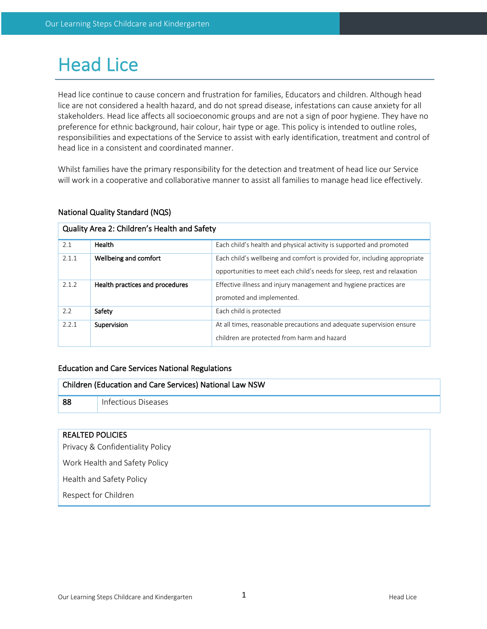# Head Lice

Head lice continue to cause concern and frustration for families, Educators and children. Although head lice are not considered a health hazard, and do not spread disease, infestations can cause anxiety for all stakeholders. Head lice affects all socioeconomic groups and are not a sign of poor hygiene. They have no preference for ethnic background, hair colour, hair type or age. This policy is intended to outline roles, responsibilities and expectations of the Service to assist with early identification, treatment and control of head lice in a consistent and coordinated manner.

Whilst families have the primary responsibility for the detection and treatment of head lice our Service will work in a cooperative and collaborative manner to assist all families to manage head lice effectively.

# National Quality Standard (NQS)

## Quality Area 2: Children's Health and Safety

| 2.1   | Health                          | Each child's health and physical activity is supported and promoted                                                                                  |  |  |  |
|-------|---------------------------------|------------------------------------------------------------------------------------------------------------------------------------------------------|--|--|--|
| 2.1.1 | Wellbeing and comfort           | Each child's wellbeing and comfort is provided for, including appropriate<br>opportunities to meet each child's needs for sleep, rest and relaxation |  |  |  |
| 2.1.2 | Health practices and procedures | Effective illness and injury management and hygiene practices are<br>promoted and implemented.                                                       |  |  |  |
| 2.2   | Safety                          | Each child is protected                                                                                                                              |  |  |  |
| 2.2.1 | Supervision                     | At all times, reasonable precautions and adequate supervision ensure<br>children are protected from harm and hazard                                  |  |  |  |

## Education and Care Services National Regulations

| Children (Education and Care Services) National Law NSW |                     |  |
|---------------------------------------------------------|---------------------|--|
| 88                                                      | Infectious Diseases |  |

#### REALTED POLICIES

Privacy & Confidentiality Policy

Work Health and Safety Policy

Health and Safety Policy

Respect for Children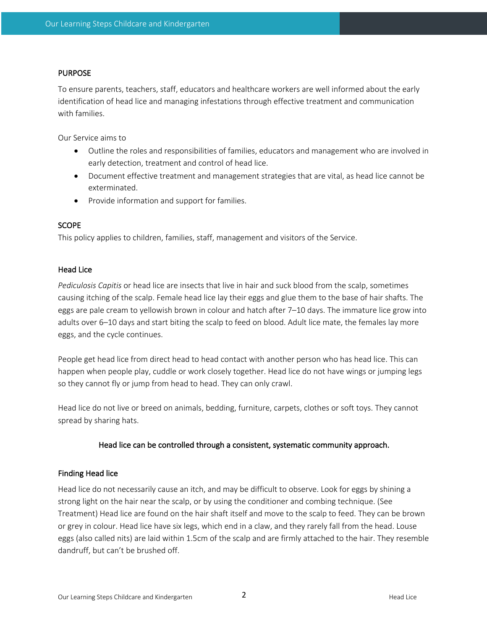## PURPOSE

To ensure parents, teachers, staff, educators and healthcare workers are well informed about the early identification of head lice and managing infestations through effective treatment and communication with families.

Our Service aims to

- Outline the roles and responsibilities of families, educators and management who are involved in early detection, treatment and control of head lice.
- Document effective treatment and management strategies that are vital, as head lice cannot be exterminated.
- Provide information and support for families.

## **SCOPE**

This policy applies to children, families, staff, management and visitors of the Service.

## Head Lice

*Pediculosis Capitis* or head lice are insects that live in hair and suck blood from the scalp, sometimes causing itching of the scalp. Female head lice lay their eggs and glue them to the base of hair shafts. The eggs are pale cream to yellowish brown in colour and hatch after 7–10 days. The immature lice grow into adults over 6–10 days and start biting the scalp to feed on blood. Adult lice mate, the females lay more eggs, and the cycle continues.

People get head lice from direct head to head contact with another person who has head lice. This can happen when people play, cuddle or work closely together. Head lice do not have wings or jumping legs so they cannot fly or jump from head to head. They can only crawl.

Head lice do not live or breed on animals, bedding, furniture, carpets, clothes or soft toys. They cannot spread by sharing hats.

## Head lice can be controlled through a consistent, systematic community approach.

## Finding Head lice

Head lice do not necessarily cause an itch, and may be difficult to observe. Look for eggs by shining a strong light on the hair near the scalp, or by using the conditioner and combing technique. (See Treatment) Head lice are found on the hair shaft itself and move to the scalp to feed. They can be brown or grey in colour. Head lice have six legs, which end in a claw, and they rarely fall from the head. Louse eggs (also called nits) are laid within 1.5cm of the scalp and are firmly attached to the hair. They resemble dandruff, but can't be brushed off.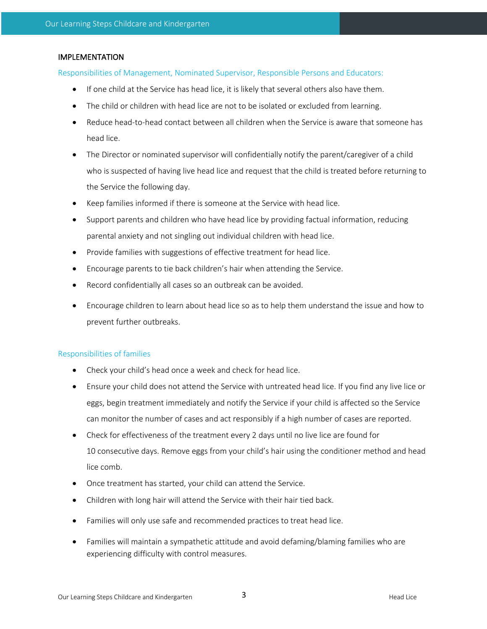## IMPLEMENTATION

Responsibilities of Management, Nominated Supervisor, Responsible Persons and Educators:

- If one child at the Service has head lice, it is likely that several others also have them.
- The child or children with head lice are not to be isolated or excluded from learning.
- Reduce head-to-head contact between all children when the Service is aware that someone has head lice.
- The Director or nominated supervisor will confidentially notify the parent/caregiver of a child who is suspected of having live head lice and request that the child is treated before returning to the Service the following day.
- Keep families informed if there is someone at the Service with head lice.
- Support parents and children who have head lice by providing factual information, reducing parental anxiety and not singling out individual children with head lice.
- Provide families with suggestions of effective treatment for head lice.
- Encourage parents to tie back children's hair when attending the Service.
- Record confidentially all cases so an outbreak can be avoided.
- Encourage children to learn about head lice so as to help them understand the issue and how to prevent further outbreaks.

## Responsibilities of families

- Check your child's head once a week and check for head lice.
- Ensure your child does not attend the Service with untreated head lice. If you find any live lice or eggs, begin treatment immediately and notify the Service if your child is affected so the Service can monitor the number of cases and act responsibly if a high number of cases are reported.
- Check for effectiveness of the treatment every 2 days until no live lice are found for 10 consecutive days. Remove eggs from your child's hair using the conditioner method and head lice comb.
- Once treatment has started, your child can attend the Service.
- Children with long hair will attend the Service with their hair tied back.
- Families will only use safe and recommended practices to treat head lice.
- Families will maintain a sympathetic attitude and avoid defaming/blaming families who are experiencing difficulty with control measures.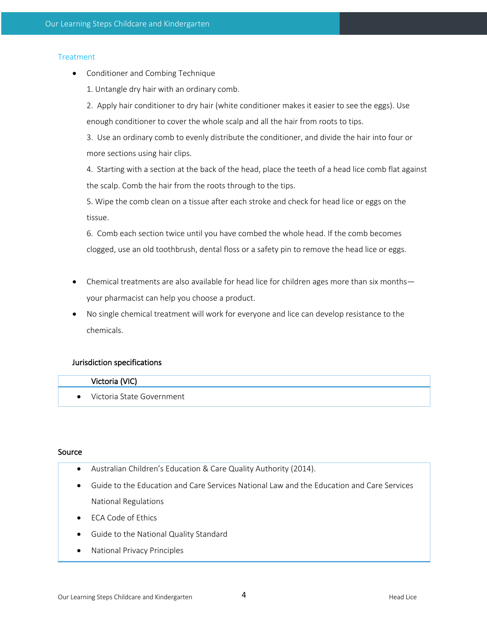## **Treatment**

- Conditioner and Combing Technique
	- 1. Untangle dry hair with an ordinary comb.

2. Apply hair conditioner to dry hair (white conditioner makes it easier to see the eggs). Use enough conditioner to cover the whole scalp and all the hair from roots to tips.

3. Use an ordinary comb to evenly distribute the conditioner, and divide the hair into four or more sections using hair clips.

4. Starting with a section at the back of the head, place the teeth of a head lice comb flat against the scalp. Comb the hair from the roots through to the tips.

5. Wipe the comb clean on a tissue after each stroke and check for head lice or eggs on the tissue.

6. Comb each section twice until you have combed the whole head. If the comb becomes clogged, use an old toothbrush, dental floss or a safety pin to remove the head lice or eggs.

- Chemical treatments are also available for head lice for children ages more than six months your pharmacist can help you choose a product.
- No single chemical treatment will work for everyone and lice can develop resistance to the chemicals.

## Jurisdiction specifications

## Victoria (VIC)

• Victoria State Government

#### Source

- Australian Children's Education & Care Quality Authority (2014).
- Guide to the Education and Care Services National Law and the Education and Care Services National Regulations
- ECA Code of Ethics
- Guide to the National Quality Standard
- National Privacy Principles